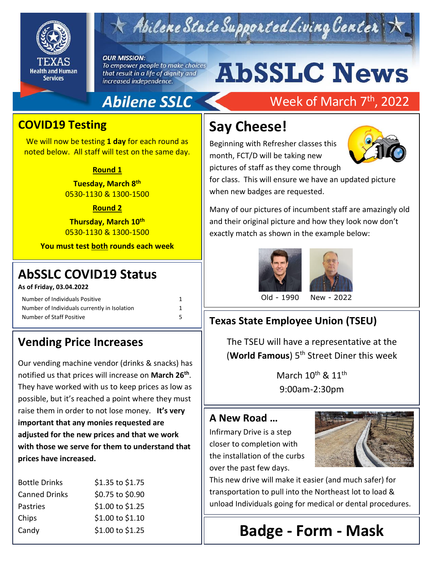

## Abilene State Supported Living Center

#### **OUR MISSION:**

To empower people to make choices that result in a life of dignity and increased independence.

# **AbSSLC News**

### **Abilene SSLC**

### Week of March 7<sup>th</sup>, 2022

### **COVID19 Testing**

We will now be testing **1 day** for each round as noted below. All staff will test on the same day.

#### **Round 1**

**Tuesday, March 8 th** 0530-1130 & 1300-1500

#### **Round 2**

**Thursday, March 10th** 0530-1130 & 1300-1500

**You must test both rounds each week**

### 2019 **AbSSLC COVID19 Status**

#### **As of Friday, 03.04.2022**

| Number of Individuals Positive               |  |
|----------------------------------------------|--|
| Number of Individuals currently in Isolation |  |
| Number of Staff Positive                     |  |

### **Vending Price Increases**

Our vending machine vendor (drinks & snacks) has notified us that prices will increase on **March 26th** . They have worked with us to keep prices as low as possible, but it's reached a point where they must raise them in order to not lose money. **It's very important that any monies requested are adjusted for the new prices and that we work with those we serve for them to understand that prices have increased.**

| <b>Bottle Drinks</b> | \$1.35 to \$1.75 |
|----------------------|------------------|
| <b>Canned Drinks</b> | \$0.75 to \$0.90 |
| Pastries             | \$1.00 to \$1.25 |
| Chips                | \$1.00 to \$1.10 |
| Candy                | \$1.00 to \$1.25 |

### **Say Cheese!**

Beginning with Refresher classes this month, FCT/D will be taking new pictures of staff as they come through



for class. This will ensure we have an updated picture when new badges are requested.

Many of our pictures of incumbent staff are amazingly old and their original picture and how they look now don't exactly match as shown in the example below:





Old - 1990 New - 2022

### **Texas State Employee Union (TSEU)**

The TSEU will have a representative at the (**World Famous**) 5th Street Diner this week

> March  $10^{\text{th}}$  &  $11^{\text{th}}$ 9:00am-2:30pm

#### **A New Road …**

Infirmary Drive is a step closer to completion with the installation of the curbs over the past few days.



This new drive will make it easier (and much safer) for transportation to pull into the Northeast lot to load & unload Individuals going for medical or dental procedures.

### **Badge - Form - Mask**